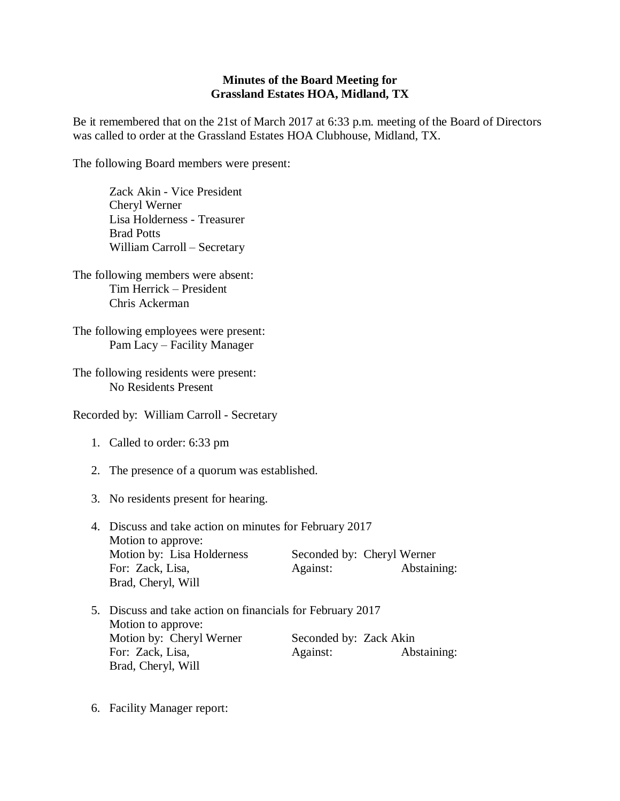## **Minutes of the Board Meeting for Grassland Estates HOA, Midland, TX**

Be it remembered that on the 21st of March 2017 at 6:33 p.m. meeting of the Board of Directors was called to order at the Grassland Estates HOA Clubhouse, Midland, TX.

The following Board members were present:

Zack Akin - Vice President Cheryl Werner Lisa Holderness - Treasurer Brad Potts William Carroll – Secretary

The following members were absent: Tim Herrick – President Chris Ackerman

The following employees were present: Pam Lacy – Facility Manager

The following residents were present: No Residents Present

Recorded by: William Carroll - Secretary

- 1. Called to order: 6:33 pm
- 2. The presence of a quorum was established.
- 3. No residents present for hearing.
- 4. Discuss and take action on minutes for February 2017 Motion to approve: Motion by: Lisa Holderness Seconded by: Cheryl Werner For: Zack, Lisa, Against: Abstaining: Brad, Cheryl, Will
- 5. Discuss and take action on financials for February 2017 Motion to approve: Motion by: Cheryl Werner Seconded by: Zack Akin For: Zack, Lisa, Against: Abstaining: Brad, Cheryl, Will
- 6. Facility Manager report: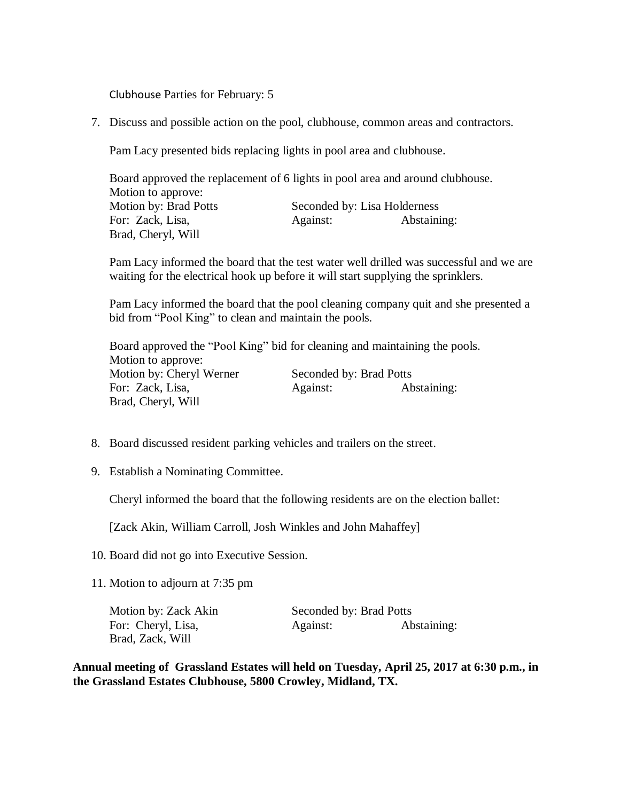Clubhouse Parties for February: 5

7. Discuss and possible action on the pool, clubhouse, common areas and contractors.

Pam Lacy presented bids replacing lights in pool area and clubhouse.

Board approved the replacement of 6 lights in pool area and around clubhouse. Motion to approve: Motion by: Brad Potts Seconded by: Lisa Holderness For: Zack, Lisa, Against: Abstaining: Brad, Cheryl, Will

Pam Lacy informed the board that the test water well drilled was successful and we are waiting for the electrical hook up before it will start supplying the sprinklers.

Pam Lacy informed the board that the pool cleaning company quit and she presented a bid from "Pool King" to clean and maintain the pools.

Board approved the "Pool King" bid for cleaning and maintaining the pools. Motion to approve: Motion by: Cheryl Werner Seconded by: Brad Potts For: Zack, Lisa, Against: Abstaining: Brad, Cheryl, Will

- 8. Board discussed resident parking vehicles and trailers on the street.
- 9. Establish a Nominating Committee.

Cheryl informed the board that the following residents are on the election ballet:

[Zack Akin, William Carroll, Josh Winkles and John Mahaffey]

- 10. Board did not go into Executive Session.
- 11. Motion to adjourn at 7:35 pm

Motion by: Zack Akin Seconded by: Brad Potts Brad, Zack, Will

For: Cheryl, Lisa, Against: Abstaining:

**Annual meeting of Grassland Estates will held on Tuesday, April 25, 2017 at 6:30 p.m., in the Grassland Estates Clubhouse, 5800 Crowley, Midland, TX.**